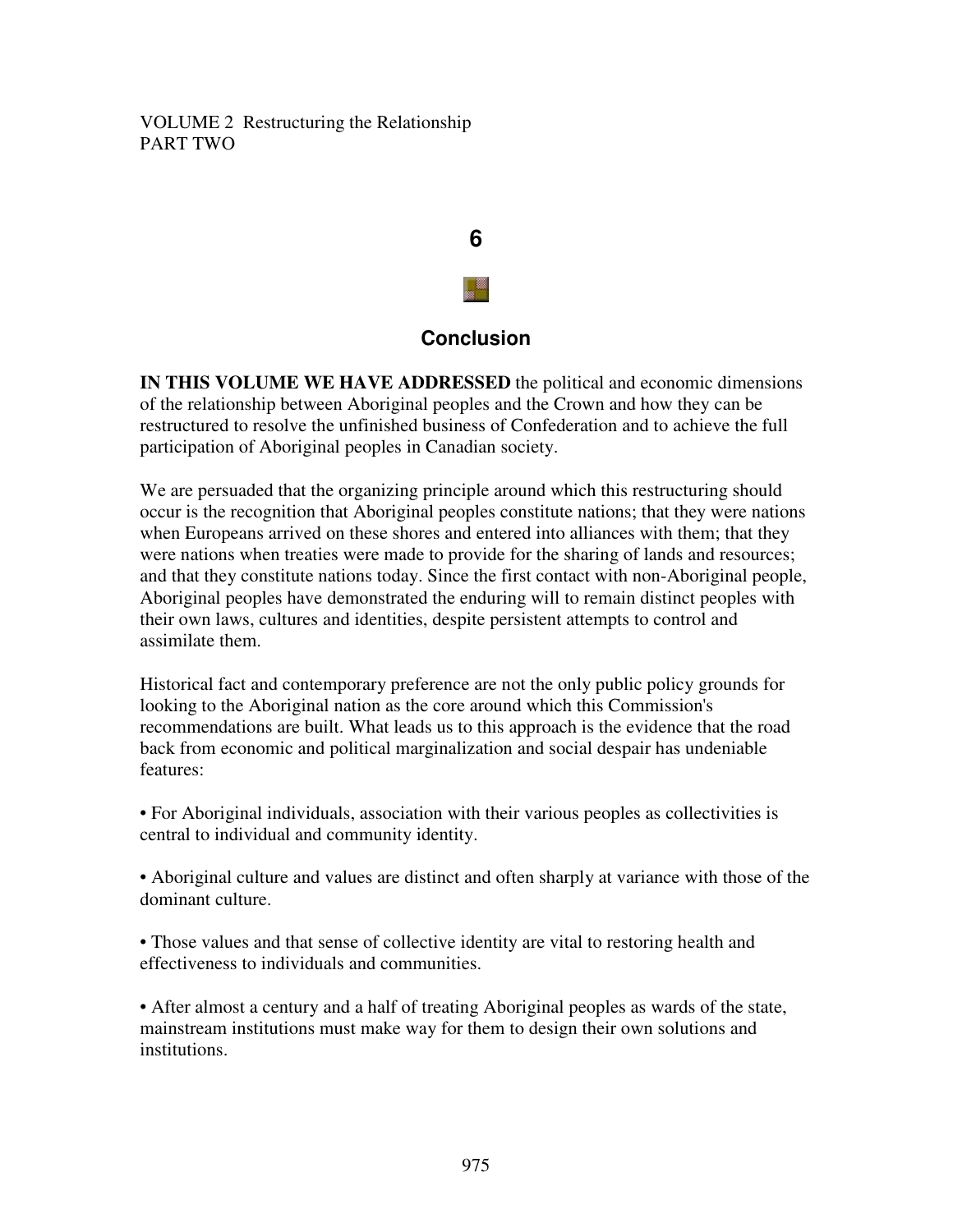VOLUME 2 Restructuring the Relationship PART TWO



#### **Conclusion**

**IN THIS VOLUME WE HAVE ADDRESSED** the political and economic dimensions of the relationship between Aboriginal peoples and the Crown and how they can be restructured to resolve the unfinished business of Confederation and to achieve the full participation of Aboriginal peoples in Canadian society.

We are persuaded that the organizing principle around which this restructuring should occur is the recognition that Aboriginal peoples constitute nations; that they were nations when Europeans arrived on these shores and entered into alliances with them; that they were nations when treaties were made to provide for the sharing of lands and resources; and that they constitute nations today. Since the first contact with non-Aboriginal people, Aboriginal peoples have demonstrated the enduring will to remain distinct peoples with their own laws, cultures and identities, despite persistent attempts to control and assimilate them.

Historical fact and contemporary preference are not the only public policy grounds for looking to the Aboriginal nation as the core around which this Commission's recommendations are built. What leads us to this approach is the evidence that the road back from economic and political marginalization and social despair has undeniable features:

• For Aboriginal individuals, association with their various peoples as collectivities is central to individual and community identity.

• Aboriginal culture and values are distinct and often sharply at variance with those of the dominant culture.

• Those values and that sense of collective identity are vital to restoring health and effectiveness to individuals and communities.

• After almost a century and a half of treating Aboriginal peoples as wards of the state, mainstream institutions must make way for them to design their own solutions and institutions.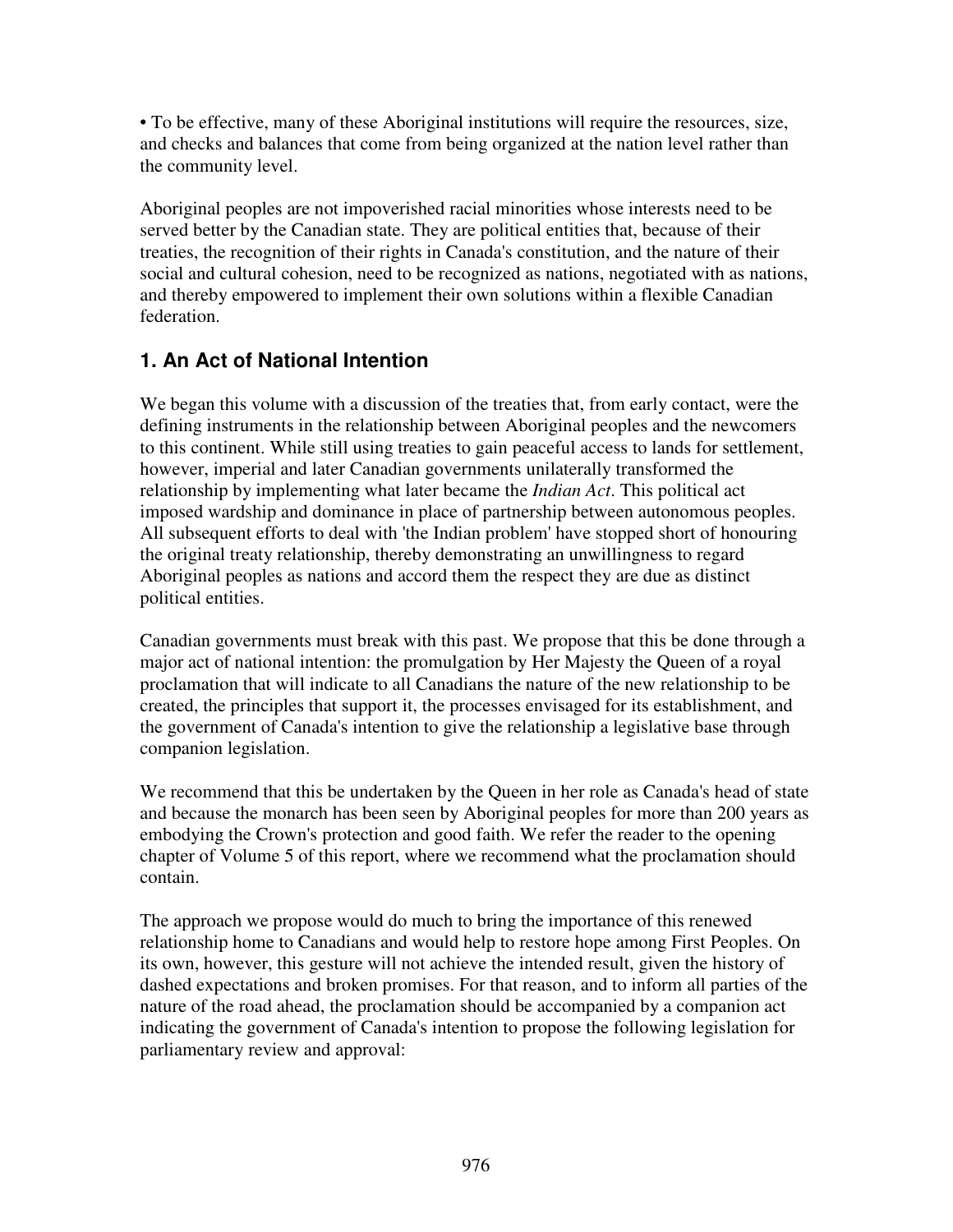• To be effective, many of these Aboriginal institutions will require the resources, size, and checks and balances that come from being organized at the nation level rather than the community level.

Aboriginal peoples are not impoverished racial minorities whose interests need to be served better by the Canadian state. They are political entities that, because of their treaties, the recognition of their rights in Canada's constitution, and the nature of their social and cultural cohesion, need to be recognized as nations, negotiated with as nations, and thereby empowered to implement their own solutions within a flexible Canadian federation.

### **1. An Act of National Intention**

We began this volume with a discussion of the treaties that, from early contact, were the defining instruments in the relationship between Aboriginal peoples and the newcomers to this continent. While still using treaties to gain peaceful access to lands for settlement, however, imperial and later Canadian governments unilaterally transformed the relationship by implementing what later became the *Indian Act*. This political act imposed wardship and dominance in place of partnership between autonomous peoples. All subsequent efforts to deal with 'the Indian problem' have stopped short of honouring the original treaty relationship, thereby demonstrating an unwillingness to regard Aboriginal peoples as nations and accord them the respect they are due as distinct political entities.

Canadian governments must break with this past. We propose that this be done through a major act of national intention: the promulgation by Her Majesty the Queen of a royal proclamation that will indicate to all Canadians the nature of the new relationship to be created, the principles that support it, the processes envisaged for its establishment, and the government of Canada's intention to give the relationship a legislative base through companion legislation.

We recommend that this be undertaken by the Queen in her role as Canada's head of state and because the monarch has been seen by Aboriginal peoples for more than 200 years as embodying the Crown's protection and good faith. We refer the reader to the opening chapter of Volume 5 of this report, where we recommend what the proclamation should contain.

The approach we propose would do much to bring the importance of this renewed relationship home to Canadians and would help to restore hope among First Peoples. On its own, however, this gesture will not achieve the intended result, given the history of dashed expectations and broken promises. For that reason, and to inform all parties of the nature of the road ahead, the proclamation should be accompanied by a companion act indicating the government of Canada's intention to propose the following legislation for parliamentary review and approval: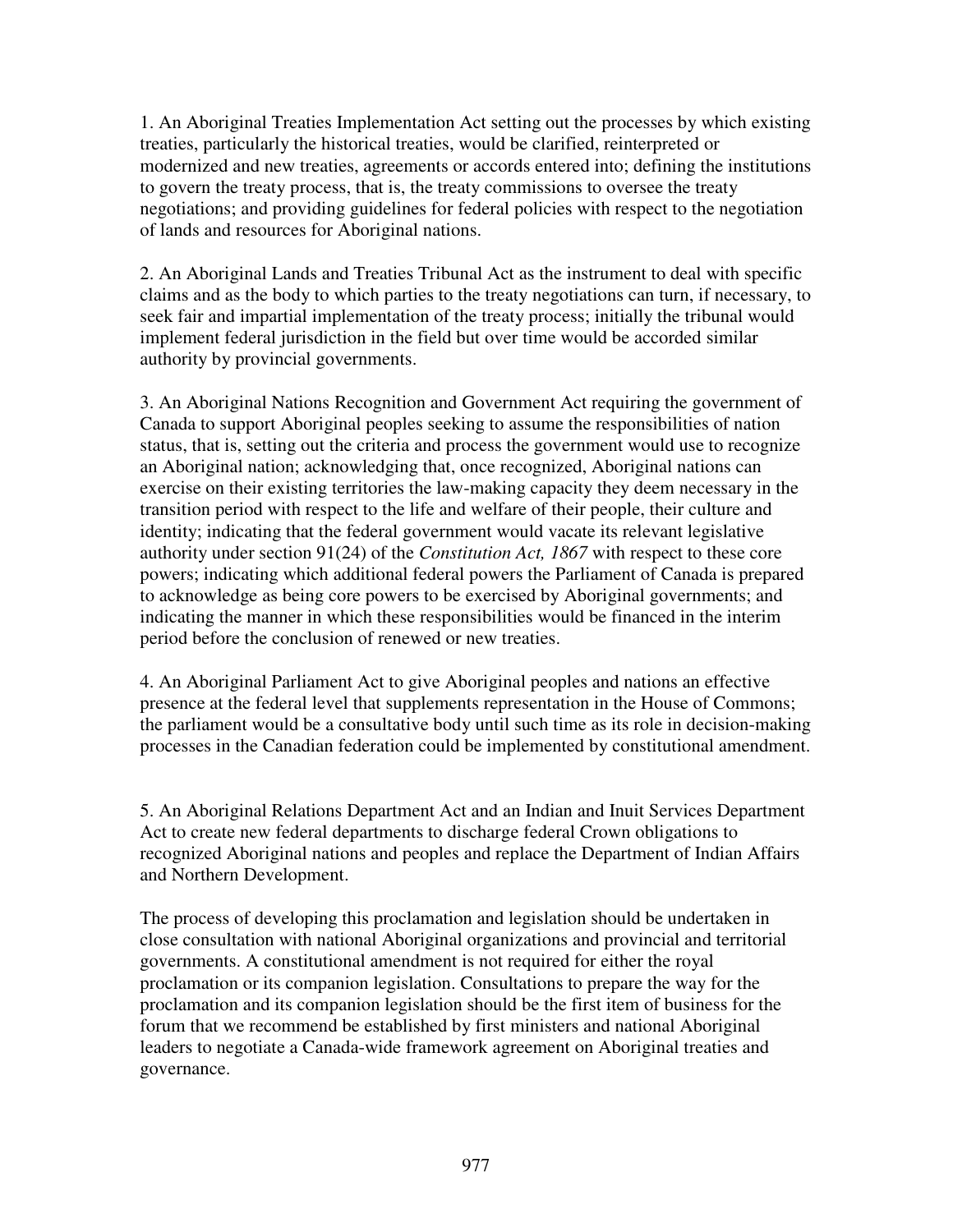1. An Aboriginal Treaties Implementation Act setting out the processes by which existing treaties, particularly the historical treaties, would be clarified, reinterpreted or modernized and new treaties, agreements or accords entered into; defining the institutions to govern the treaty process, that is, the treaty commissions to oversee the treaty negotiations; and providing guidelines for federal policies with respect to the negotiation of lands and resources for Aboriginal nations.

2. An Aboriginal Lands and Treaties Tribunal Act as the instrument to deal with specific claims and as the body to which parties to the treaty negotiations can turn, if necessary, to seek fair and impartial implementation of the treaty process; initially the tribunal would implement federal jurisdiction in the field but over time would be accorded similar authority by provincial governments.

3. An Aboriginal Nations Recognition and Government Act requiring the government of Canada to support Aboriginal peoples seeking to assume the responsibilities of nation status, that is, setting out the criteria and process the government would use to recognize an Aboriginal nation; acknowledging that, once recognized, Aboriginal nations can exercise on their existing territories the law-making capacity they deem necessary in the transition period with respect to the life and welfare of their people, their culture and identity; indicating that the federal government would vacate its relevant legislative authority under section 91(24) of the *Constitution Act, 1867* with respect to these core powers; indicating which additional federal powers the Parliament of Canada is prepared to acknowledge as being core powers to be exercised by Aboriginal governments; and indicating the manner in which these responsibilities would be financed in the interim period before the conclusion of renewed or new treaties.

4. An Aboriginal Parliament Act to give Aboriginal peoples and nations an effective presence at the federal level that supplements representation in the House of Commons; the parliament would be a consultative body until such time as its role in decision-making processes in the Canadian federation could be implemented by constitutional amendment.

5. An Aboriginal Relations Department Act and an Indian and Inuit Services Department Act to create new federal departments to discharge federal Crown obligations to recognized Aboriginal nations and peoples and replace the Department of Indian Affairs and Northern Development.

The process of developing this proclamation and legislation should be undertaken in close consultation with national Aboriginal organizations and provincial and territorial governments. A constitutional amendment is not required for either the royal proclamation or its companion legislation. Consultations to prepare the way for the proclamation and its companion legislation should be the first item of business for the forum that we recommend be established by first ministers and national Aboriginal leaders to negotiate a Canada-wide framework agreement on Aboriginal treaties and governance.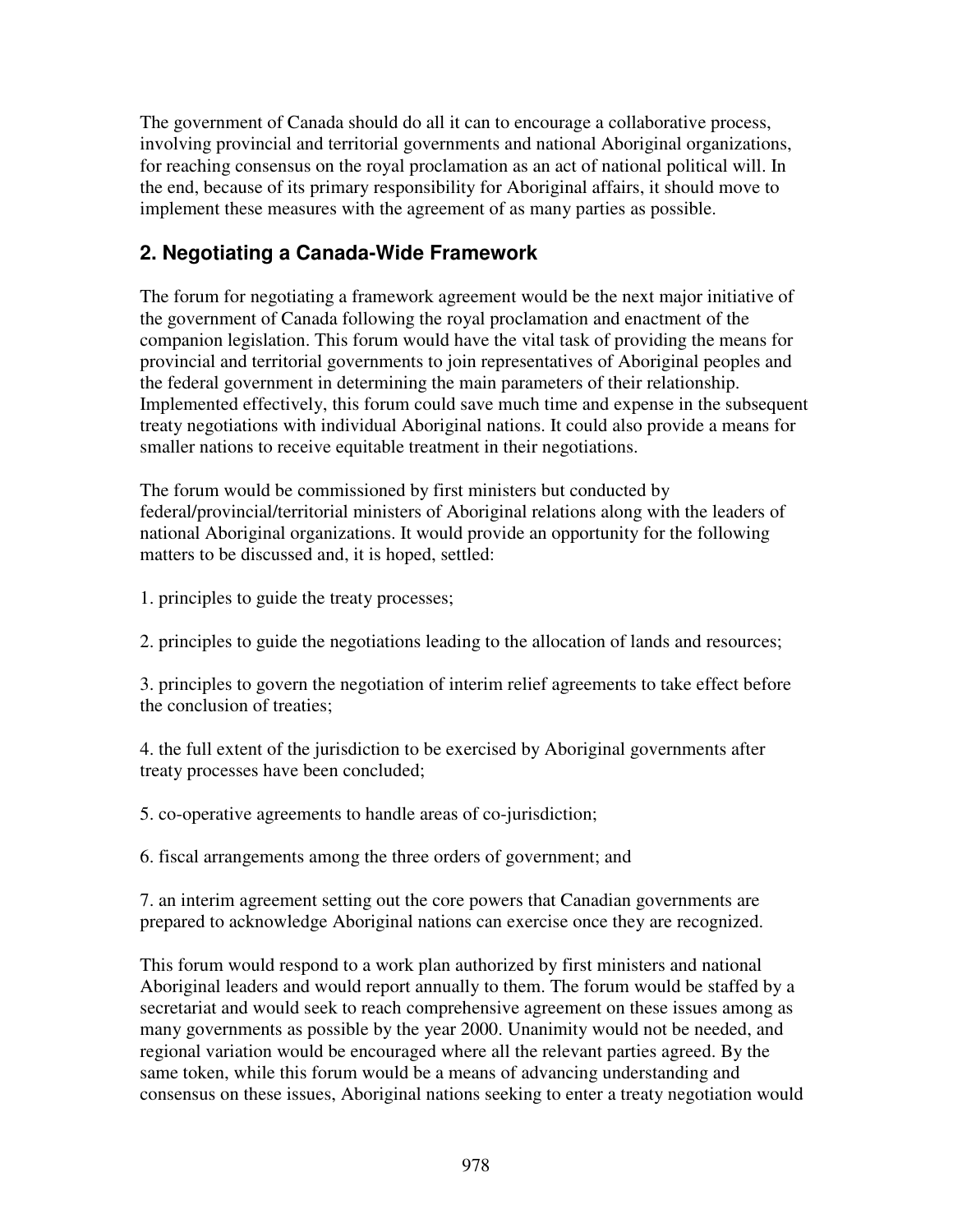The government of Canada should do all it can to encourage a collaborative process, involving provincial and territorial governments and national Aboriginal organizations, for reaching consensus on the royal proclamation as an act of national political will. In the end, because of its primary responsibility for Aboriginal affairs, it should move to implement these measures with the agreement of as many parties as possible.

### **2. Negotiating a Canada-Wide Framework**

The forum for negotiating a framework agreement would be the next major initiative of the government of Canada following the royal proclamation and enactment of the companion legislation. This forum would have the vital task of providing the means for provincial and territorial governments to join representatives of Aboriginal peoples and the federal government in determining the main parameters of their relationship. Implemented effectively, this forum could save much time and expense in the subsequent treaty negotiations with individual Aboriginal nations. It could also provide a means for smaller nations to receive equitable treatment in their negotiations.

The forum would be commissioned by first ministers but conducted by federal/provincial/territorial ministers of Aboriginal relations along with the leaders of national Aboriginal organizations. It would provide an opportunity for the following matters to be discussed and, it is hoped, settled:

1. principles to guide the treaty processes;

2. principles to guide the negotiations leading to the allocation of lands and resources;

3. principles to govern the negotiation of interim relief agreements to take effect before the conclusion of treaties;

4. the full extent of the jurisdiction to be exercised by Aboriginal governments after treaty processes have been concluded;

5. co-operative agreements to handle areas of co-jurisdiction;

6. fiscal arrangements among the three orders of government; and

7. an interim agreement setting out the core powers that Canadian governments are prepared to acknowledge Aboriginal nations can exercise once they are recognized.

This forum would respond to a work plan authorized by first ministers and national Aboriginal leaders and would report annually to them. The forum would be staffed by a secretariat and would seek to reach comprehensive agreement on these issues among as many governments as possible by the year 2000. Unanimity would not be needed, and regional variation would be encouraged where all the relevant parties agreed. By the same token, while this forum would be a means of advancing understanding and consensus on these issues, Aboriginal nations seeking to enter a treaty negotiation would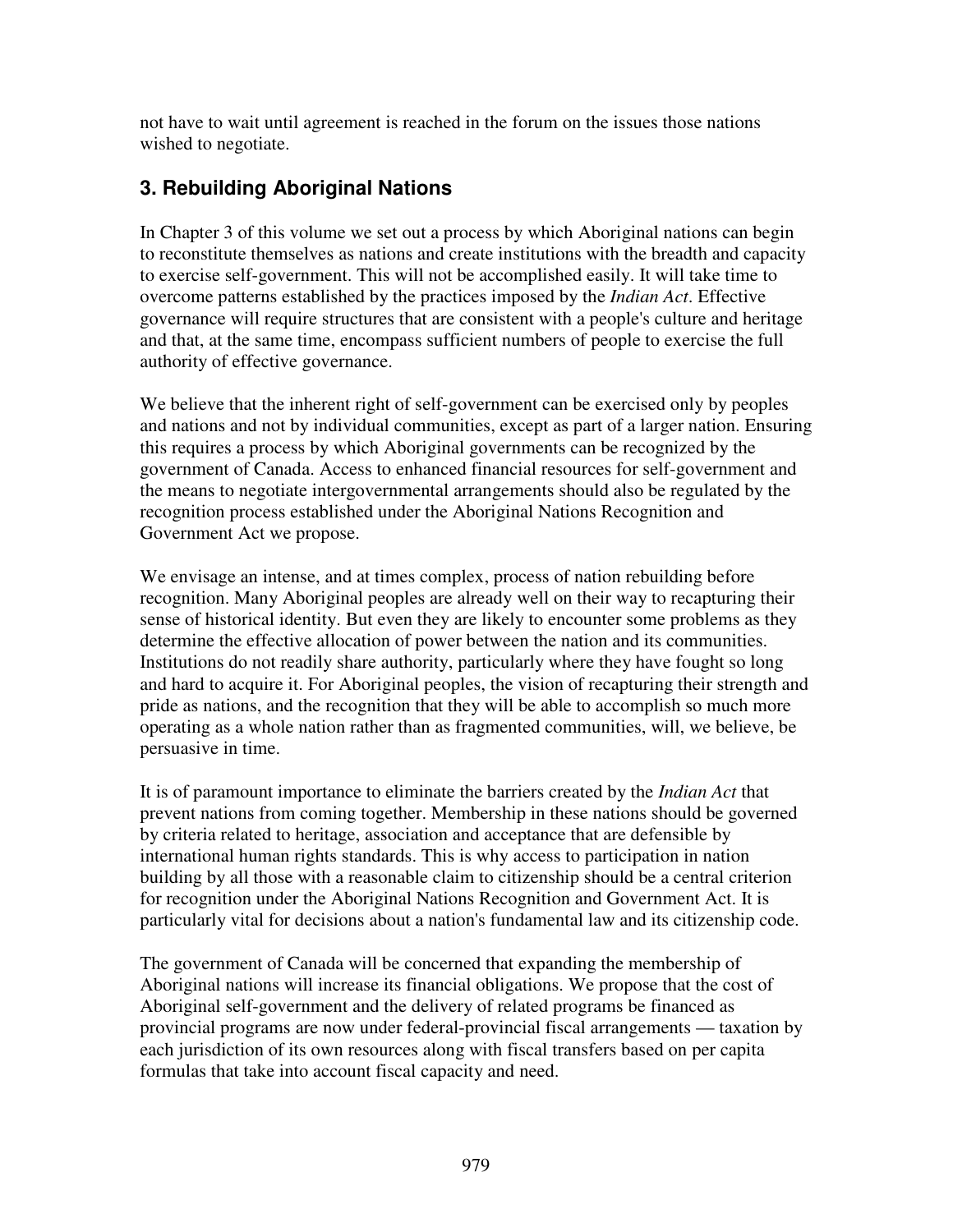not have to wait until agreement is reached in the forum on the issues those nations wished to negotiate.

## **3. Rebuilding Aboriginal Nations**

In Chapter 3 of this volume we set out a process by which Aboriginal nations can begin to reconstitute themselves as nations and create institutions with the breadth and capacity to exercise self-government. This will not be accomplished easily. It will take time to overcome patterns established by the practices imposed by the *Indian Act*. Effective governance will require structures that are consistent with a people's culture and heritage and that, at the same time, encompass sufficient numbers of people to exercise the full authority of effective governance.

We believe that the inherent right of self-government can be exercised only by peoples and nations and not by individual communities, except as part of a larger nation. Ensuring this requires a process by which Aboriginal governments can be recognized by the government of Canada. Access to enhanced financial resources for self-government and the means to negotiate intergovernmental arrangements should also be regulated by the recognition process established under the Aboriginal Nations Recognition and Government Act we propose.

We envisage an intense, and at times complex, process of nation rebuilding before recognition. Many Aboriginal peoples are already well on their way to recapturing their sense of historical identity. But even they are likely to encounter some problems as they determine the effective allocation of power between the nation and its communities. Institutions do not readily share authority, particularly where they have fought so long and hard to acquire it. For Aboriginal peoples, the vision of recapturing their strength and pride as nations, and the recognition that they will be able to accomplish so much more operating as a whole nation rather than as fragmented communities, will, we believe, be persuasive in time.

It is of paramount importance to eliminate the barriers created by the *Indian Act* that prevent nations from coming together. Membership in these nations should be governed by criteria related to heritage, association and acceptance that are defensible by international human rights standards. This is why access to participation in nation building by all those with a reasonable claim to citizenship should be a central criterion for recognition under the Aboriginal Nations Recognition and Government Act. It is particularly vital for decisions about a nation's fundamental law and its citizenship code.

The government of Canada will be concerned that expanding the membership of Aboriginal nations will increase its financial obligations. We propose that the cost of Aboriginal self-government and the delivery of related programs be financed as provincial programs are now under federal-provincial fiscal arrangements — taxation by each jurisdiction of its own resources along with fiscal transfers based on per capita formulas that take into account fiscal capacity and need.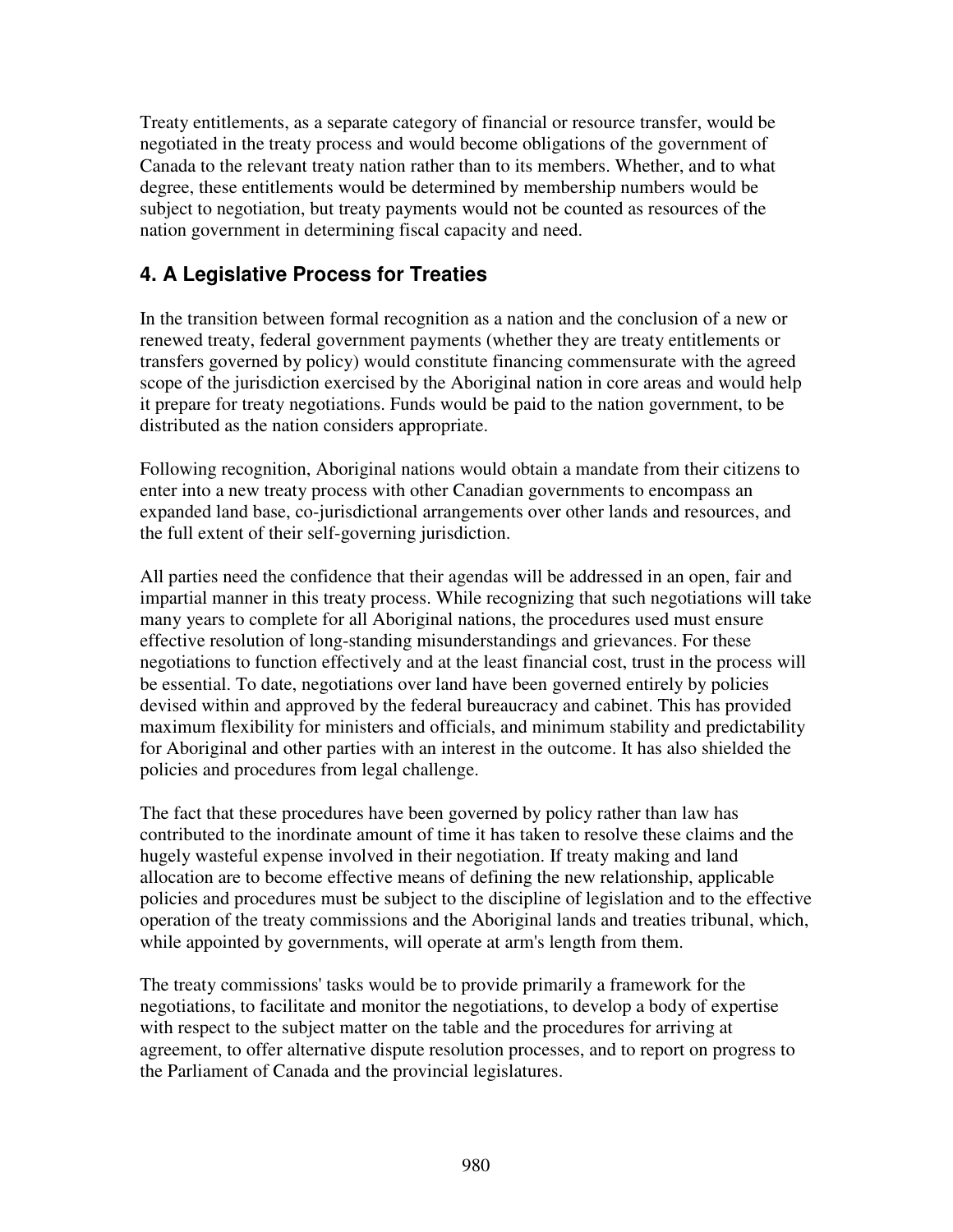Treaty entitlements, as a separate category of financial or resource transfer, would be negotiated in the treaty process and would become obligations of the government of Canada to the relevant treaty nation rather than to its members. Whether, and to what degree, these entitlements would be determined by membership numbers would be subject to negotiation, but treaty payments would not be counted as resources of the nation government in determining fiscal capacity and need.

### **4. A Legislative Process for Treaties**

In the transition between formal recognition as a nation and the conclusion of a new or renewed treaty, federal government payments (whether they are treaty entitlements or transfers governed by policy) would constitute financing commensurate with the agreed scope of the jurisdiction exercised by the Aboriginal nation in core areas and would help it prepare for treaty negotiations. Funds would be paid to the nation government, to be distributed as the nation considers appropriate.

Following recognition, Aboriginal nations would obtain a mandate from their citizens to enter into a new treaty process with other Canadian governments to encompass an expanded land base, co-jurisdictional arrangements over other lands and resources, and the full extent of their self-governing jurisdiction.

All parties need the confidence that their agendas will be addressed in an open, fair and impartial manner in this treaty process. While recognizing that such negotiations will take many years to complete for all Aboriginal nations, the procedures used must ensure effective resolution of long-standing misunderstandings and grievances. For these negotiations to function effectively and at the least financial cost, trust in the process will be essential. To date, negotiations over land have been governed entirely by policies devised within and approved by the federal bureaucracy and cabinet. This has provided maximum flexibility for ministers and officials, and minimum stability and predictability for Aboriginal and other parties with an interest in the outcome. It has also shielded the policies and procedures from legal challenge.

The fact that these procedures have been governed by policy rather than law has contributed to the inordinate amount of time it has taken to resolve these claims and the hugely wasteful expense involved in their negotiation. If treaty making and land allocation are to become effective means of defining the new relationship, applicable policies and procedures must be subject to the discipline of legislation and to the effective operation of the treaty commissions and the Aboriginal lands and treaties tribunal, which, while appointed by governments, will operate at arm's length from them.

The treaty commissions' tasks would be to provide primarily a framework for the negotiations, to facilitate and monitor the negotiations, to develop a body of expertise with respect to the subject matter on the table and the procedures for arriving at agreement, to offer alternative dispute resolution processes, and to report on progress to the Parliament of Canada and the provincial legislatures.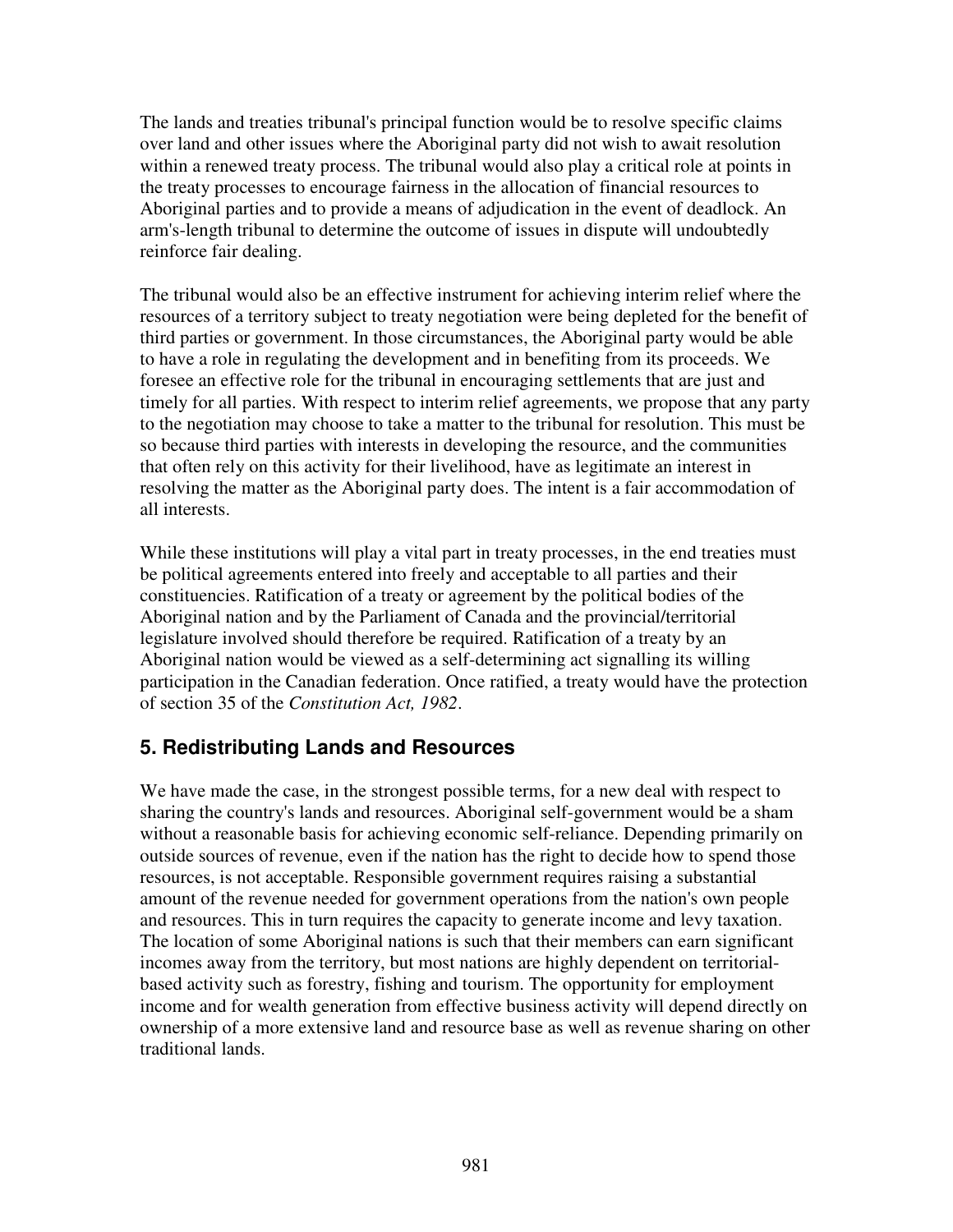The lands and treaties tribunal's principal function would be to resolve specific claims over land and other issues where the Aboriginal party did not wish to await resolution within a renewed treaty process. The tribunal would also play a critical role at points in the treaty processes to encourage fairness in the allocation of financial resources to Aboriginal parties and to provide a means of adjudication in the event of deadlock. An arm's-length tribunal to determine the outcome of issues in dispute will undoubtedly reinforce fair dealing.

The tribunal would also be an effective instrument for achieving interim relief where the resources of a territory subject to treaty negotiation were being depleted for the benefit of third parties or government. In those circumstances, the Aboriginal party would be able to have a role in regulating the development and in benefiting from its proceeds. We foresee an effective role for the tribunal in encouraging settlements that are just and timely for all parties. With respect to interim relief agreements, we propose that any party to the negotiation may choose to take a matter to the tribunal for resolution. This must be so because third parties with interests in developing the resource, and the communities that often rely on this activity for their livelihood, have as legitimate an interest in resolving the matter as the Aboriginal party does. The intent is a fair accommodation of all interests.

While these institutions will play a vital part in treaty processes, in the end treaties must be political agreements entered into freely and acceptable to all parties and their constituencies. Ratification of a treaty or agreement by the political bodies of the Aboriginal nation and by the Parliament of Canada and the provincial/territorial legislature involved should therefore be required. Ratification of a treaty by an Aboriginal nation would be viewed as a self-determining act signalling its willing participation in the Canadian federation. Once ratified, a treaty would have the protection of section 35 of the *Constitution Act, 1982*.

#### **5. Redistributing Lands and Resources**

We have made the case, in the strongest possible terms, for a new deal with respect to sharing the country's lands and resources. Aboriginal self-government would be a sham without a reasonable basis for achieving economic self-reliance. Depending primarily on outside sources of revenue, even if the nation has the right to decide how to spend those resources, is not acceptable. Responsible government requires raising a substantial amount of the revenue needed for government operations from the nation's own people and resources. This in turn requires the capacity to generate income and levy taxation. The location of some Aboriginal nations is such that their members can earn significant incomes away from the territory, but most nations are highly dependent on territorialbased activity such as forestry, fishing and tourism. The opportunity for employment income and for wealth generation from effective business activity will depend directly on ownership of a more extensive land and resource base as well as revenue sharing on other traditional lands.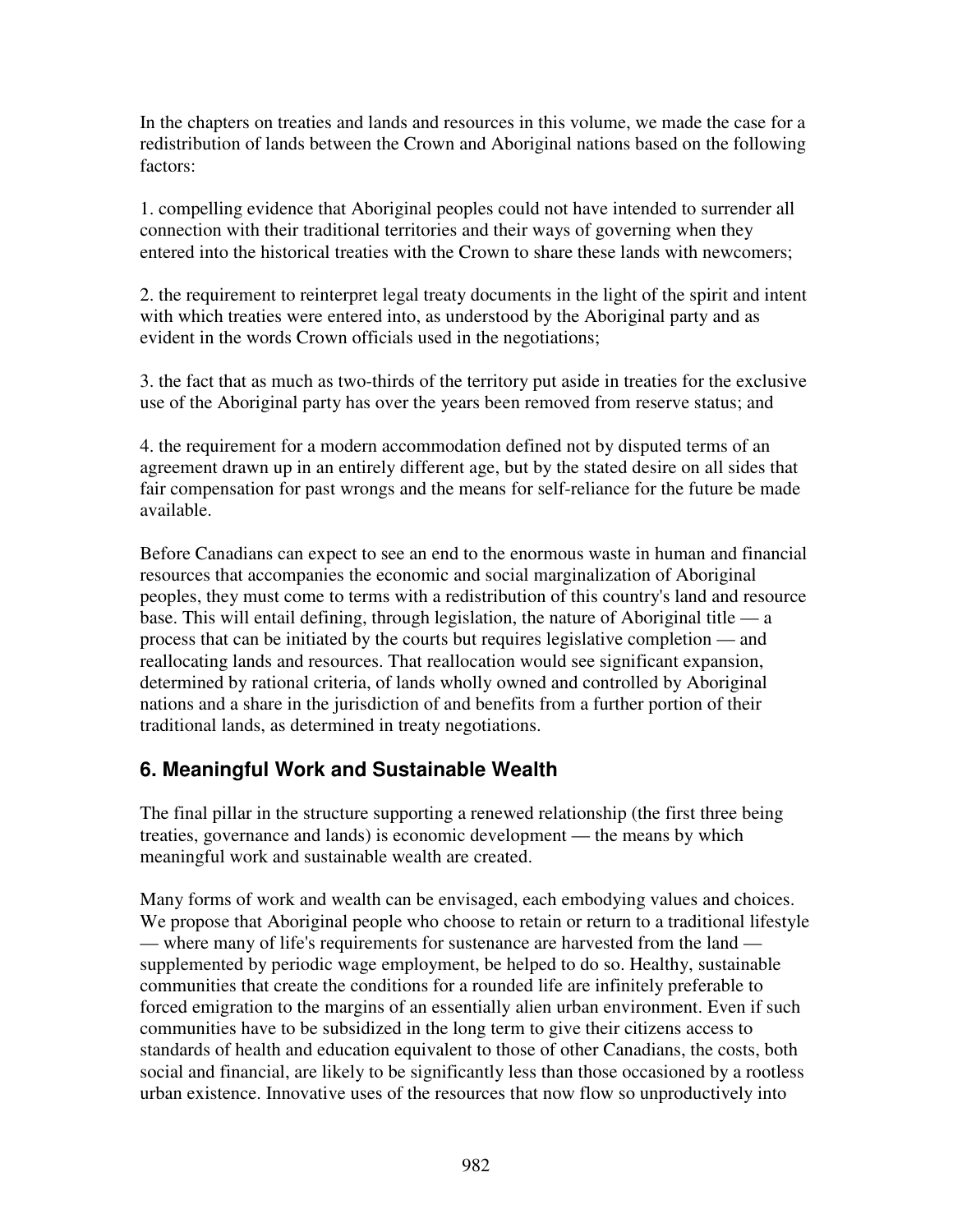In the chapters on treaties and lands and resources in this volume, we made the case for a redistribution of lands between the Crown and Aboriginal nations based on the following factors:

1. compelling evidence that Aboriginal peoples could not have intended to surrender all connection with their traditional territories and their ways of governing when they entered into the historical treaties with the Crown to share these lands with newcomers;

2. the requirement to reinterpret legal treaty documents in the light of the spirit and intent with which treaties were entered into, as understood by the Aboriginal party and as evident in the words Crown officials used in the negotiations;

3. the fact that as much as two-thirds of the territory put aside in treaties for the exclusive use of the Aboriginal party has over the years been removed from reserve status; and

4. the requirement for a modern accommodation defined not by disputed terms of an agreement drawn up in an entirely different age, but by the stated desire on all sides that fair compensation for past wrongs and the means for self-reliance for the future be made available.

Before Canadians can expect to see an end to the enormous waste in human and financial resources that accompanies the economic and social marginalization of Aboriginal peoples, they must come to terms with a redistribution of this country's land and resource base. This will entail defining, through legislation, the nature of Aboriginal title — a process that can be initiated by the courts but requires legislative completion — and reallocating lands and resources. That reallocation would see significant expansion, determined by rational criteria, of lands wholly owned and controlled by Aboriginal nations and a share in the jurisdiction of and benefits from a further portion of their traditional lands, as determined in treaty negotiations.

# **6. Meaningful Work and Sustainable Wealth**

The final pillar in the structure supporting a renewed relationship (the first three being treaties, governance and lands) is economic development — the means by which meaningful work and sustainable wealth are created.

Many forms of work and wealth can be envisaged, each embodying values and choices. We propose that Aboriginal people who choose to retain or return to a traditional lifestyle — where many of life's requirements for sustenance are harvested from the land supplemented by periodic wage employment, be helped to do so. Healthy, sustainable communities that create the conditions for a rounded life are infinitely preferable to forced emigration to the margins of an essentially alien urban environment. Even if such communities have to be subsidized in the long term to give their citizens access to standards of health and education equivalent to those of other Canadians, the costs, both social and financial, are likely to be significantly less than those occasioned by a rootless urban existence. Innovative uses of the resources that now flow so unproductively into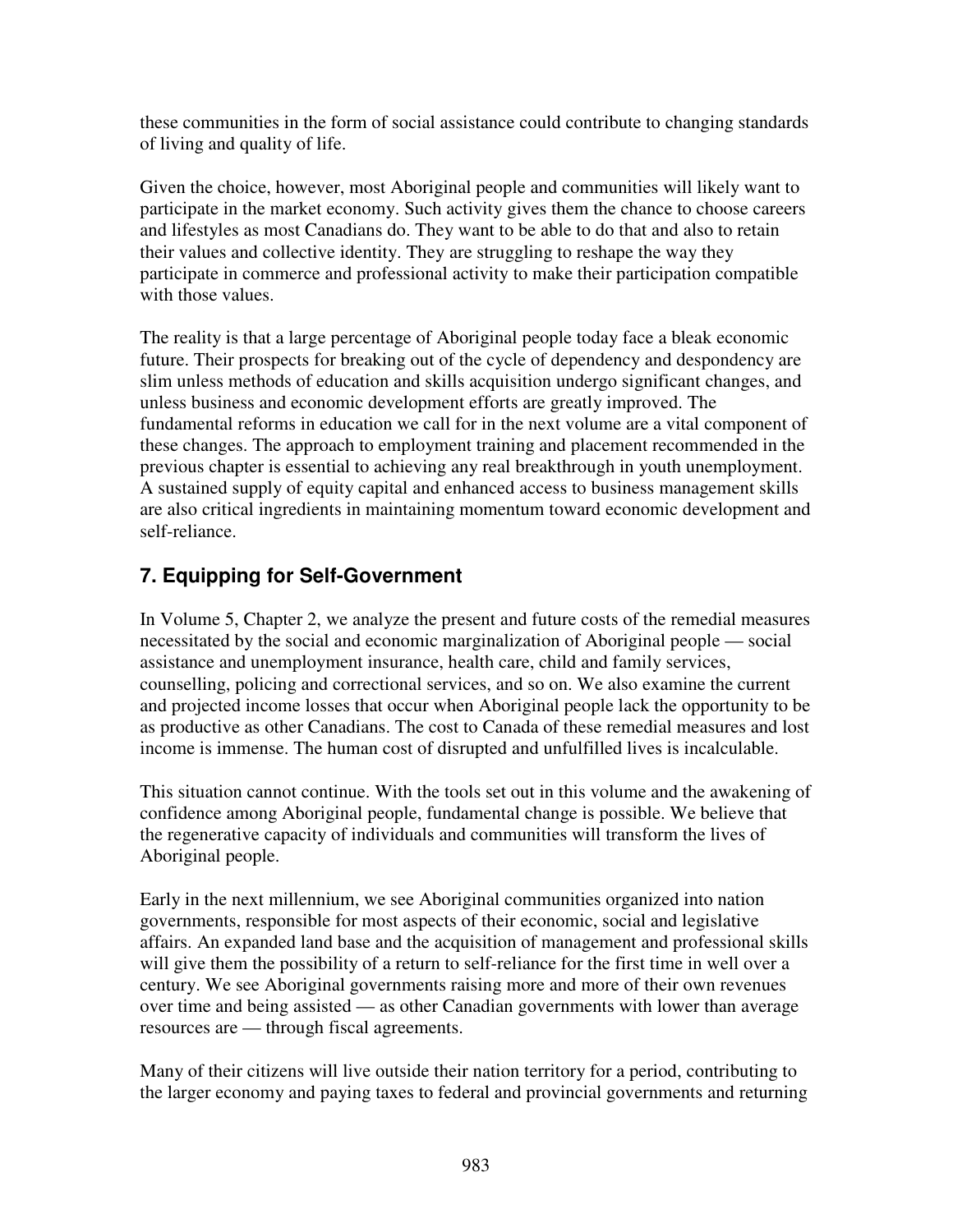these communities in the form of social assistance could contribute to changing standards of living and quality of life.

Given the choice, however, most Aboriginal people and communities will likely want to participate in the market economy. Such activity gives them the chance to choose careers and lifestyles as most Canadians do. They want to be able to do that and also to retain their values and collective identity. They are struggling to reshape the way they participate in commerce and professional activity to make their participation compatible with those values.

The reality is that a large percentage of Aboriginal people today face a bleak economic future. Their prospects for breaking out of the cycle of dependency and despondency are slim unless methods of education and skills acquisition undergo significant changes, and unless business and economic development efforts are greatly improved. The fundamental reforms in education we call for in the next volume are a vital component of these changes. The approach to employment training and placement recommended in the previous chapter is essential to achieving any real breakthrough in youth unemployment. A sustained supply of equity capital and enhanced access to business management skills are also critical ingredients in maintaining momentum toward economic development and self-reliance.

# **7. Equipping for Self-Government**

In Volume 5, Chapter 2, we analyze the present and future costs of the remedial measures necessitated by the social and economic marginalization of Aboriginal people — social assistance and unemployment insurance, health care, child and family services, counselling, policing and correctional services, and so on. We also examine the current and projected income losses that occur when Aboriginal people lack the opportunity to be as productive as other Canadians. The cost to Canada of these remedial measures and lost income is immense. The human cost of disrupted and unfulfilled lives is incalculable.

This situation cannot continue. With the tools set out in this volume and the awakening of confidence among Aboriginal people, fundamental change is possible. We believe that the regenerative capacity of individuals and communities will transform the lives of Aboriginal people.

Early in the next millennium, we see Aboriginal communities organized into nation governments, responsible for most aspects of their economic, social and legislative affairs. An expanded land base and the acquisition of management and professional skills will give them the possibility of a return to self-reliance for the first time in well over a century. We see Aboriginal governments raising more and more of their own revenues over time and being assisted — as other Canadian governments with lower than average resources are — through fiscal agreements.

Many of their citizens will live outside their nation territory for a period, contributing to the larger economy and paying taxes to federal and provincial governments and returning